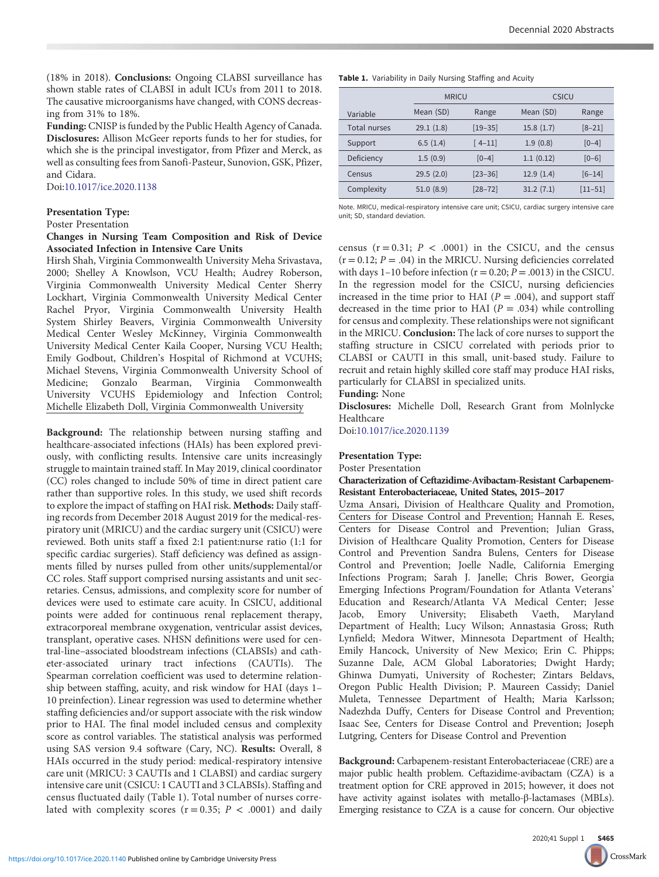(18% in 2018). Conclusions: Ongoing CLABSI surveillance has shown stable rates of CLABSI in adult ICUs from 2011 to 2018. The causative microorganisms have changed, with CONS decreasing from 31% to 18%.

Funding: CNISP is funded by the Public Health Agency of Canada. Disclosures: Allison McGeer reports funds to her for studies, for which she is the principal investigator, from Pfizer and Merck, as well as consulting fees from Sanofi-Pasteur, Sunovion, GSK, Pfizer, and Cidara.

Doi[:10.1017/ice.2020.1138](https://doi.org/10.1017/ice.2020.1138)

#### Presentation Type:

Poster Presentation

### Changes in Nursing Team Composition and Risk of Device Associated Infection in Intensive Care Units

Hirsh Shah, Virginia Commonwealth University Meha Srivastava, 2000; Shelley A Knowlson, VCU Health; Audrey Roberson, Virginia Commonwealth University Medical Center Sherry Lockhart, Virginia Commonwealth University Medical Center Rachel Pryor, Virginia Commonwealth University Health System Shirley Beavers, Virginia Commonwealth University Medical Center Wesley McKinney, Virginia Commonwealth University Medical Center Kaila Cooper, Nursing VCU Health; Emily Godbout, Children's Hospital of Richmond at VCUHS; Michael Stevens, Virginia Commonwealth University School of Medicine; Gonzalo Bearman, Virginia Commonwealth University VCUHS Epidemiology and Infection Control; Michelle Elizabeth Doll, Virginia Commonwealth University

Background: The relationship between nursing staffing and healthcare-associated infections (HAIs) has been explored previously, with conflicting results. Intensive care units increasingly struggle to maintain trained staff. In May 2019, clinical coordinator (CC) roles changed to include 50% of time in direct patient care rather than supportive roles. In this study, we used shift records to explore the impact of staffing on HAI risk. Methods: Daily staffing records from December 2018 August 2019 for the medical-respiratory unit (MRICU) and the cardiac surgery unit (CSICU) were reviewed. Both units staff a fixed 2:1 patient:nurse ratio (1:1 for specific cardiac surgeries). Staff deficiency was defined as assignments filled by nurses pulled from other units/supplemental/or CC roles. Staff support comprised nursing assistants and unit secretaries. Census, admissions, and complexity score for number of devices were used to estimate care acuity. In CSICU, additional points were added for continuous renal replacement therapy, extracorporeal membrane oxygenation, ventricular assist devices, transplant, operative cases. NHSN definitions were used for central-line–associated bloodstream infections (CLABSIs) and catheter-associated urinary tract infections (CAUTIs). The Spearman correlation coefficient was used to determine relationship between staffing, acuity, and risk window for HAI (days 1– 10 preinfection). Linear regression was used to determine whether staffing deficiencies and/or support associate with the risk window prior to HAI. The final model included census and complexity score as control variables. The statistical analysis was performed using SAS version 9.4 software (Cary, NC). Results: Overall, 8 HAIs occurred in the study period: medical-respiratory intensive care unit (MRICU: 3 CAUTIs and 1 CLABSI) and cardiac surgery intensive care unit (CSICU: 1 CAUTI and 3 CLABSIs). Staffing and census fluctuated daily (Table 1). Total number of nurses correlated with complexity scores ( $r = 0.35$ ;  $P < .0001$ ) and daily

|  |  | Table 1. Variability in Daily Nursing Staffing and Acuity |
|--|--|-----------------------------------------------------------|
|  |  |                                                           |

|              |           | <b>MRICU</b> |           | <b>CSICU</b> |  |
|--------------|-----------|--------------|-----------|--------------|--|
| Variable     | Mean (SD) | Range        | Mean (SD) | Range        |  |
| Total nurses | 29.1(1.8) | $[19 - 35]$  | 15.8(1.7) | $[8 - 21]$   |  |
| Support      | 6.5(1.4)  | $[4 - 11]$   | 1.9(0.8)  | $[0-4]$      |  |
| Deficiency   | 1.5(0.9)  | $[0-4]$      | 1.1(0.12) | $[0-6]$      |  |
| Census       | 29.5(2.0) | $[23 - 36]$  | 12.9(1.4) | $[6 - 14]$   |  |
| Complexity   | 51.0(8.9) | $[28 - 72]$  | 31.2(7.1) | $[11 - 51]$  |  |

Note. MRICU, medical-respiratory intensive care unit; CSICU, cardiac surgery intensive care unit; SD, standard deviation.

census  $(r = 0.31; P < .0001)$  in the CSICU, and the census  $(r = 0.12; P = .04)$  in the MRICU. Nursing deficiencies correlated with days 1–10 before infection ( $r = 0.20; P = .0013$ ) in the CSICU. In the regression model for the CSICU, nursing deficiencies increased in the time prior to HAI ( $P = .004$ ), and support staff decreased in the time prior to HAI ( $P = .034$ ) while controlling for census and complexity. These relationships were not significant in the MRICU. Conclusion: The lack of core nurses to support the staffing structure in CSICU correlated with periods prior to CLABSI or CAUTI in this small, unit-based study. Failure to recruit and retain highly skilled core staff may produce HAI risks, particularly for CLABSI in specialized units.

Funding: None

Disclosures: Michelle Doll, Research Grant from Molnlycke Healthcare

Doi[:10.1017/ice.2020.1139](https://doi.org/10.1017/ice.2020.1139)

## Presentation Type:

Poster Presentation

#### Characterization of Ceftazidime-Avibactam-Resistant Carbapenem-Resistant Enterobacteriaceae, United States, 2015–2017

Uzma Ansari, Division of Healthcare Quality and Promotion, Centers for Disease Control and Prevention; Hannah E. Reses, Centers for Disease Control and Prevention; Julian Grass, Division of Healthcare Quality Promotion, Centers for Disease Control and Prevention Sandra Bulens, Centers for Disease Control and Prevention; Joelle Nadle, California Emerging Infections Program; Sarah J. Janelle; Chris Bower, Georgia Emerging Infections Program/Foundation for Atlanta Veterans' Education and Research/Atlanta VA Medical Center; Jesse Jacob, Emory University; Elisabeth Vaeth, Maryland Department of Health; Lucy Wilson; Annastasia Gross; Ruth Lynfield; Medora Witwer, Minnesota Department of Health; Emily Hancock, University of New Mexico; Erin C. Phipps; Suzanne Dale, ACM Global Laboratories; Dwight Hardy; Ghinwa Dumyati, University of Rochester; Zintars Beldavs, Oregon Public Health Division; P. Maureen Cassidy; Daniel Muleta, Tennessee Department of Health; Maria Karlsson; Nadezhda Duffy, Centers for Disease Control and Prevention; Isaac See, Centers for Disease Control and Prevention; Joseph Lutgring, Centers for Disease Control and Prevention

Background: Carbapenem-resistant Enterobacteriaceae (CRE) are a major public health problem. Ceftazidime-avibactam (CZA) is a treatment option for CRE approved in 2015; however, it does not have activity against isolates with metallo-β-lactamases (MBLs). Emerging resistance to CZA is a cause for concern. Our objective

CrossMark